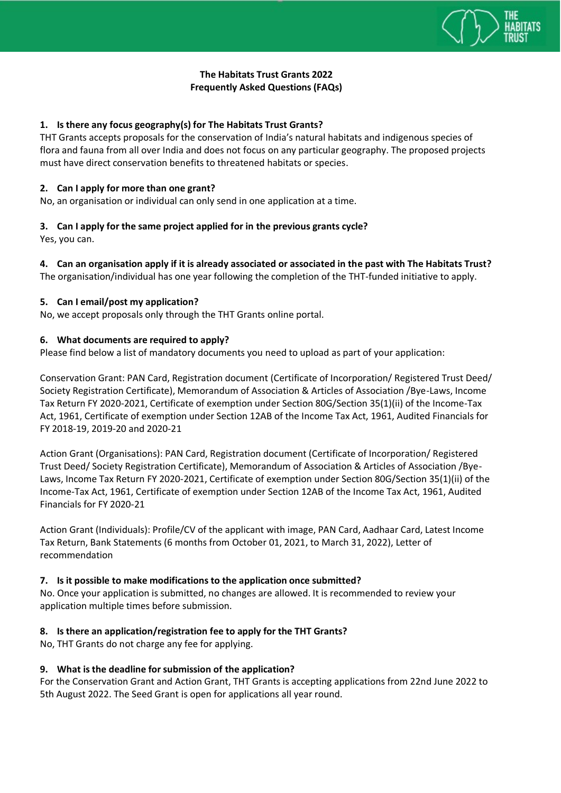

# **The Habitats Trust Grants 2022 Frequently Asked Questions (FAQs)**

### **1. [Is there any focus geography\(s\) for The Habitats Trust Grants?](https://www.hclfoundation.org/hcl-grant/faq#collapse10)**

THT Grants accepts proposals for the conservation of India's natural habitats and indigenous species of flora and fauna from all over India and does not focus on any particular geography. The proposed projects must have direct conservation benefits to threatened habitats or species.

#### **2. Can I apply for more than one grant?**

No, an organisation or individual can only send in one application at a time.

# **3. Can I apply for the same project applied for in the previous grants cycle?**

Yes, you can.

### **4. Can an organisation apply if it is already associated or associated in the past with The Habitats Trust?**

The organisation/individual has one year following the completion of the THT-funded initiative to apply.

### **5. Can I email/post my application?**

No, we accept proposals only through the THT Grants online portal.

### **6. What documents [are required to apply?](https://www.hclfoundation.org/hcl-grant/faq#collapse41)**

Please find below a list of mandatory documents you need to upload as part of your application:

Conservation Grant: PAN Card, Registration document (Certificate of Incorporation/ Registered Trust Deed/ Society Registration Certificate), Memorandum of Association & Articles of Association /Bye-Laws, Income Tax Return FY 2020-2021, Certificate of exemption under Section 80G/Section 35(1)(ii) of the Income-Tax Act, 1961, Certificate of exemption under Section 12AB of the Income Tax Act, 1961, Audited Financials for FY 2018-19, 2019-20 and 2020-21

Action Grant (Organisations): PAN Card, Registration document (Certificate of Incorporation/ Registered Trust Deed/ Society Registration Certificate), Memorandum of Association & Articles of Association /Bye-Laws, Income Tax Return FY 2020-2021, Certificate of exemption under Section 80G/Section 35(1)(ii) of the Income-Tax Act, 1961, Certificate of exemption under Section 12AB of the Income Tax Act, 1961, Audited Financials for FY 2020-21

Action Grant (Individuals): Profile/CV of the applicant with image, PAN Card, Aadhaar Card, Latest Income Tax Return, Bank Statements (6 months from October 01, 2021, to March 31, 2022), Letter of recommendation

#### **7. Is it possible to make modifications to the application once submitted?**

No. Once your application is submitted, no changes are allowed. It is recommended to review your application multiple times before submission.

#### **8. Is there an application/registration fee to apply for the THT Grants?**

No, THT Grants do not charge any fee for applying.

#### **9. What is the deadline for submission of the application?**

For the Conservation Grant and Action Grant, THT Grants is accepting applications from 22nd June 2022 to 5th August 2022. The Seed Grant is open for applications all year round.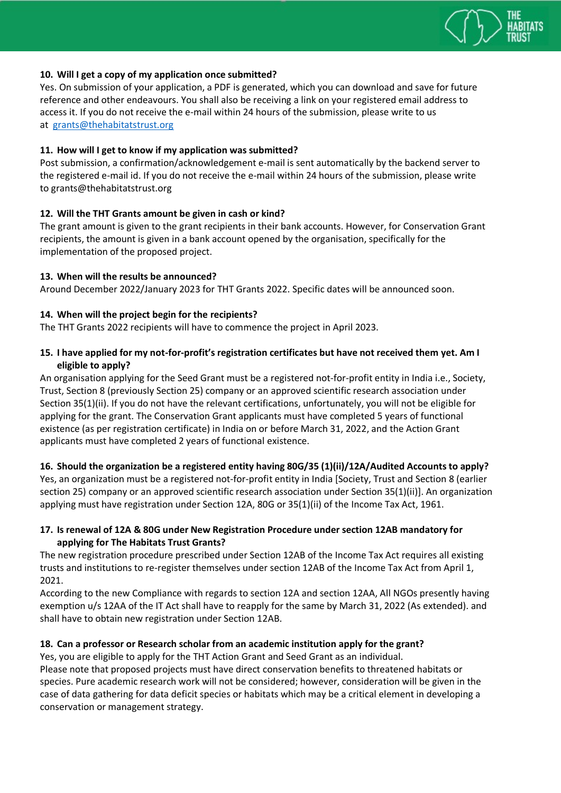

### **10. [Will I get a copy of my application once submitted?](https://www.hclfoundation.org/hcl-grant/faq#collapse43)**

Yes. On submission of your application, a PDF is generated, which you can download and save for future reference and other endeavours. You shall also be receiving a link on your registered email address to access it. If you do not receive the e-mail within 24 hours of the submission, please write to us at [grants@thehabitatstrust.org](mailto:grants@thehabitatstrust.org)

### **11. [How will I get to know if my application was submitted?](https://www.hclfoundation.org/hcl-grant/faq#collapse44)**

Post submission, a confirmation/acknowledgement e-mail is sent automatically by the backend server to the registered e-mail id. If you do not receive the e-mail within 24 hours of the submission, please write to [grants@thehabitatstrust.org](mailto:grants@thehabitatstrust.org)

### **12. Will the THT Grants amount be given in cash or kind?**

The grant amount is given to the grant recipients in their bank accounts. However, for Conservation Grant recipients, the amount is given in a bank account opened by the organisation, specifically for the implementation of the proposed project.

### **13. [When will the results be announced?](https://www.hclfoundation.org/hcl-grant/faq#collapse17)**

Around December 2022/January 2023 for THT Grants 2022. Specific dates will be announced soon.

### **14. [When will the project begin for the recipients?](https://www.hclfoundation.org/hcl-grant/faq#collapse18)**

The THT Grants 2022 recipients will have to commence the project in April 2023.

### **15. I have applied for my not-for-profit's registration certificates but have not received them yet. Am I eligible to apply?**

An organisation applying for the Seed Grant must be a registered not-for-profit entity in India i.e., Society, Trust, Section 8 (previously Section 25) company or an approved scientific research association under Section 35(1)(ii). If you do not have the relevant certifications, unfortunately, you will not be eligible for applying for the grant. The Conservation Grant applicants must have completed 5 years of functional existence (as per registration certificate) in India on or before March 31, 2022, and the Action Grant applicants must have completed 2 years of functional existence.

# **16. Should the organization be a registered entity having 80G/35 (1)(ii)/12A/Audited Accounts to apply?**

Yes, an organization must be a registered not-for-profit entity in India [Society, Trust and Section 8 (earlier section 25) company or an approved scientific research association under Section 35(1)(ii)]. An organization applying must have registration under Section 12A, 80G or 35(1)(ii) of the Income Tax Act, 1961.

# **17. Is renewal of 12A & 80G under New Registration Procedure under section 12AB mandatory for applying for The Habitats Trust Grants?**

The new registration procedure prescribed under Section 12AB of the Income Tax Act requires all existing trusts and institutions to re-register themselves under section 12AB of the Income Tax Act from April 1, 2021.

According to the new Compliance with regards to section 12A and section 12AA, All NGOs presently having exemption u/s 12AA of the IT Act shall have to reapply for the same by March 31, 2022 (As extended). and shall have to obtain new registration under Section 12AB.

# **18. Can a professor or Research scholar from an academic institution apply for the grant?**

Yes, you are eligible to apply for the THT Action Grant and Seed Grant as an individual.

Please note that proposed projects must have direct conservation benefits to threatened habitats or species. Pure academic research work will not be considered; however, consideration will be given in the case of data gathering for data deficit species or habitats which may be a critical element in developing a conservation or management strategy.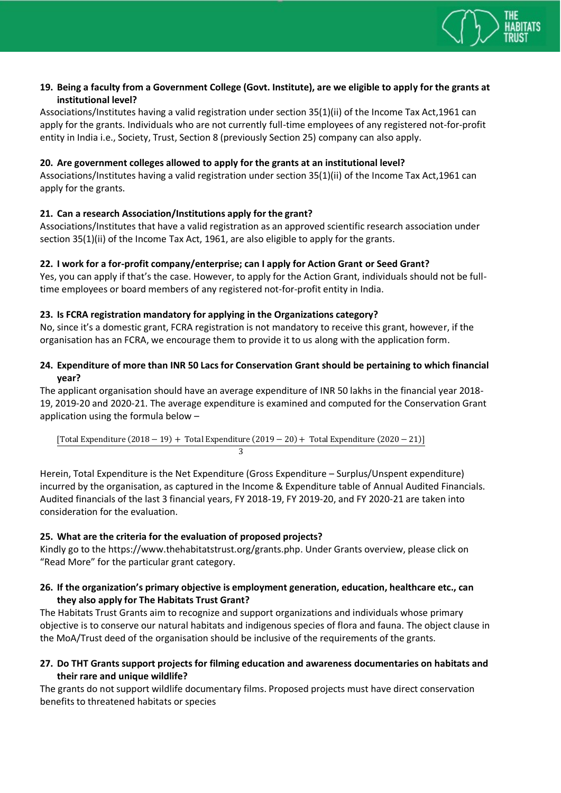

# **19. Being a faculty from a Government College (Govt. Institute), are we eligible to apply for the grants at institutional level?**

Associations/Institutes having a valid registration under section 35(1)(ii) of the Income Tax Act,1961 can apply for the grants. Individuals who are not currently full-time employees of any registered not-for-profit entity in India i.e., Society, Trust, Section 8 (previously Section 25) company can also apply.

### **20. Are government colleges allowed to apply for the grants at an institutional level?**

Associations/Institutes having a valid registration under section 35(1)(ii) of the Income Tax Act,1961 can apply for the grants.

# **21. Can a research Association/Institutions apply for the grant?**

Associations/Institutes that have a valid registration as an approved scientific research association under section 35(1)(ii) of the Income Tax Act, 1961, are also eligible to apply for the grants.

### **22. I work for a for-profit company/enterprise; can I apply for Action Grant or Seed Grant?**

Yes, you can apply if that's the case. However, to apply for the Action Grant, individuals should not be fulltime employees or board members of any registered not-for-profit entity in India.

### **23. Is FCRA registration mandatory for applying in the Organizations category?**

No, since it's a domestic grant, FCRA registration is not mandatory to receive this grant, however, if the organisation has an FCRA, we encourage them to provide it to us along with the application form.

# **24. Expenditure of more than INR 50 Lacs for Conservation Grant should be pertaining to which financial year?**

The applicant organisation should have an average expenditure of INR 50 lakhs in the financial year 2018- 19, 2019-20 and 2020-21. The average expenditure is examined and computed for the Conservation Grant application using the formula below –

[Total Expenditure (2018 − 19) + Total Expenditure (2019 − 20) + Total Expenditure (2020 − 21)] 3

Herein, Total Expenditure is the Net Expenditure (Gross Expenditure – Surplus/Unspent expenditure) incurred by the organisation, as captured in the Income & Expenditure table of Annual Audited Financials. Audited financials of the last 3 financial years, FY 2018-19, FY 2019-20, and FY 2020-21 are taken into consideration for the evaluation.

# **25. What are the criteria for the evaluation of proposed projects?**

Kindly go to the [https://www.thehabitatstrust.org/grants.php.](https://www.thehabitatstrust.org/grants.php) Under Grants overview, please click on "Read More" for the particular grant category.

### **26. If the organization's primary objective is employment generation, education, healthcare etc., can they also apply for The Habitats Trust Grant?**

The Habitats Trust Grants aim to recognize and support organizations and individuals whose primary objective is to conserve our natural habitats and indigenous species of flora and fauna. The object clause in the MoA/Trust deed of the organisation should be inclusive of the requirements of the grants.

### **27. Do THT Grants support projects for filming education and awareness documentaries on habitats and their rare and unique wildlife?**

The grants do not support wildlife documentary films. Proposed projects must have direct conservation benefits to threatened habitats or species